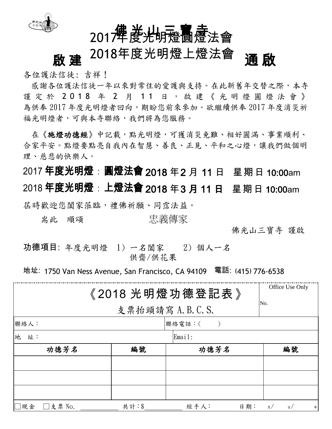

## 佛 光·山三寶 麦 2017年度光明燈圓燈法會

# **啟 建** <sup>2018年度光明燈上燈法會 **通 啟**</sup>

各位護法信徒: 吉祥!

感謝各位護法信徒一年以來對常住的愛護與支持。在此新舊年交替之際,本寺 謹定於 201 8 年 2 月 1 1 日 , 啟 建 《 光 明 燈 圓 燈 法 會 》 為供奉 2017 年度光明燈者回向,期盼您前來參加。欲繼續供奉 2017 年度消災祈 福光明燈者,可與本寺聯絡,我們將為您服務。

在《施燈功德經》中記載,點光明燈,可獲消災免難、相好圓滿、事業順利、 合家平安。點燈要點亮自我內在智慧、善良、正見、平和之心燈,讓我們做個明 理、慈悲的快樂人。

2017 年度光明燈 : 圓燈法會 2018 年2 月 11 日 星期日 10:00am 2018 年度光明燈 : 上燈法會 2018 年3 月 11 日 星期日 10:00am 屆時歡迎您闔家蒞臨,禮佛祈願、同霑法益。 耑此 順頌 忠義傳家

佛光山三寶寺 謹啟

功德項目: 年度光明燈 1) 一名闔家 2) 個人一名 供齋/供花果

地址: 1750 Van Ness Avenue, San Francisco, CA 94109 電話: (415) 776-6538

|                |        | 《2018 光明燈功德登記表》 | Office Use Only                   |  |  |  |
|----------------|--------|-----------------|-----------------------------------|--|--|--|
|                | No.    |                 |                                   |  |  |  |
| 聯絡人:           |        | 聯絡電話:(          |                                   |  |  |  |
| 地 址:           | Email: |                 |                                   |  |  |  |
| 功德芳名           | 編號     | 功德芳名            | 編號                                |  |  |  |
|                |        |                 |                                   |  |  |  |
|                |        |                 |                                   |  |  |  |
|                |        |                 |                                   |  |  |  |
| 現金 <br>□支票 No. | 共計:\$  | 經手人:            | 日期:<br>月 $/$<br>$\mathbf{B}$<br>年 |  |  |  |